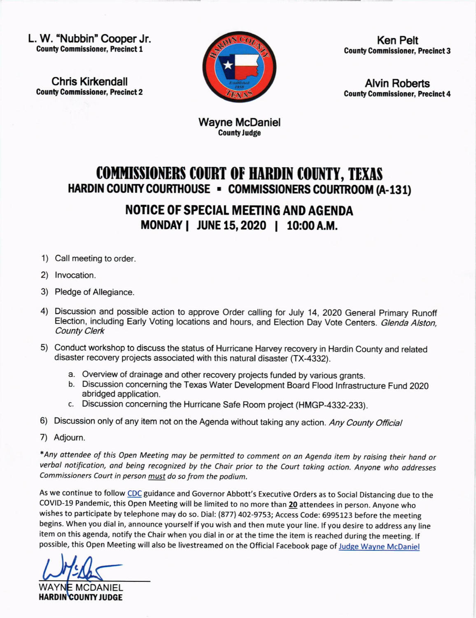L. W. "Nubbin" Cooper Jr. **County Commissioner, Precinct 1** 

**Chris Kirkendall County Commissioner, Precinct 2** 



**Ken Pelt County Commissioner, Precinct 3** 

**Alvin Roberts County Commissioner, Precinct 4** 

**Wayne McDaniel County Judge** 

## **COMMISSIONERS COURT OF HARDIN COUNTY, TEXAS** HARDIN COUNTY COURTHOUSE - COMMISSIONERS COURTROOM (A-131)

**NOTICE OF SPECIAL MEETING AND AGENDA** MONDAY | JUNE 15, 2020 | 10:00 A.M.

- 1) Call meeting to order.
- 2) Invocation.
- 3) Pledge of Allegiance.
- 4) Discussion and possible action to approve Order calling for July 14, 2020 General Primary Runoff Election, including Early Voting locations and hours, and Election Day Vote Centers. Glenda Alston, **County Clerk**
- 5) Conduct workshop to discuss the status of Hurricane Harvey recovery in Hardin County and related disaster recovery projects associated with this natural disaster (TX-4332).
	- a. Overview of drainage and other recovery projects funded by various grants.
	- b. Discussion concerning the Texas Water Development Board Flood Infrastructure Fund 2020 abridged application.
	- c. Discussion concerning the Hurricane Safe Room project (HMGP-4332-233).
- 6) Discussion only of any item not on the Agenda without taking any action. Any County Official
- 7) Adjourn.

\*Any attendee of this Open Meeting may be permitted to comment on an Agenda item by raising their hand or verbal notification, and being recognized by the Chair prior to the Court taking action. Anyone who addresses Commissioners Court in person must do so from the podium.

As we continue to follow CDC guidance and Governor Abbott's Executive Orders as to Social Distancing due to the COVID-19 Pandemic, this Open Meeting will be limited to no more than 20 attendees in person. Anyone who wishes to participate by telephone may do so. Dial: (877) 402-9753; Access Code: 6995123 before the meeting begins. When you dial in, announce yourself if you wish and then mute your line. If you desire to address any line item on this agenda, notify the Chair when you dial in or at the time the item is reached during the meeting. If possible, this Open Meeting will also be livestreamed on the Official Facebook page of Judge Wayne McDaniel

**HARDIN COUNTY JUDGE**